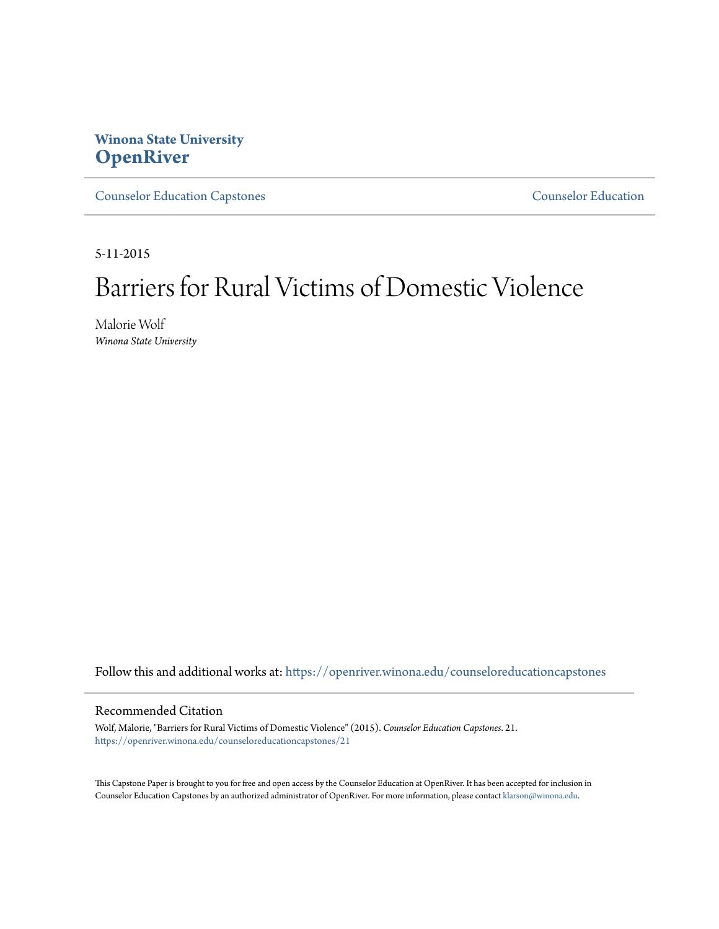## **Winona State University [OpenRiver](https://openriver.winona.edu?utm_source=openriver.winona.edu%2Fcounseloreducationcapstones%2F21&utm_medium=PDF&utm_campaign=PDFCoverPages)**

[Counselor Education Capstones](https://openriver.winona.edu/counseloreducationcapstones?utm_source=openriver.winona.edu%2Fcounseloreducationcapstones%2F21&utm_medium=PDF&utm_campaign=PDFCoverPages) [Counselor Education](https://openriver.winona.edu/counseloreducation?utm_source=openriver.winona.edu%2Fcounseloreducationcapstones%2F21&utm_medium=PDF&utm_campaign=PDFCoverPages)

5-11-2015

# Barriers for Rural Victims of Domestic Violence

Malorie Wolf *Winona State University*

Follow this and additional works at: [https://openriver.winona.edu/counseloreducationcapstones](https://openriver.winona.edu/counseloreducationcapstones?utm_source=openriver.winona.edu%2Fcounseloreducationcapstones%2F21&utm_medium=PDF&utm_campaign=PDFCoverPages)

#### Recommended Citation

Wolf, Malorie, "Barriers for Rural Victims of Domestic Violence" (2015). *Counselor Education Capstones*. 21. [https://openriver.winona.edu/counseloreducationcapstones/21](https://openriver.winona.edu/counseloreducationcapstones/21?utm_source=openriver.winona.edu%2Fcounseloreducationcapstones%2F21&utm_medium=PDF&utm_campaign=PDFCoverPages)

This Capstone Paper is brought to you for free and open access by the Counselor Education at OpenRiver. It has been accepted for inclusion in Counselor Education Capstones by an authorized administrator of OpenRiver. For more information, please contact [klarson@winona.edu](mailto:klarson@winona.edu).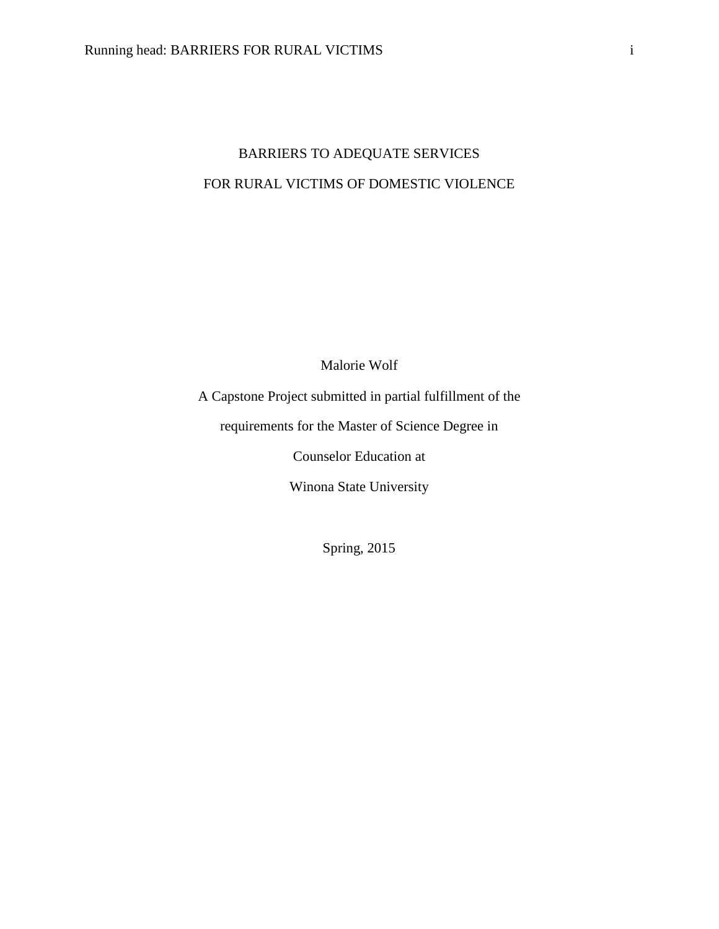## BARRIERS TO ADEQUATE SERVICES FOR RURAL VICTIMS OF DOMESTIC VIOLENCE

Malorie Wolf

A Capstone Project submitted in partial fulfillment of the

requirements for the Master of Science Degree in

Counselor Education at

Winona State University

Spring, 2015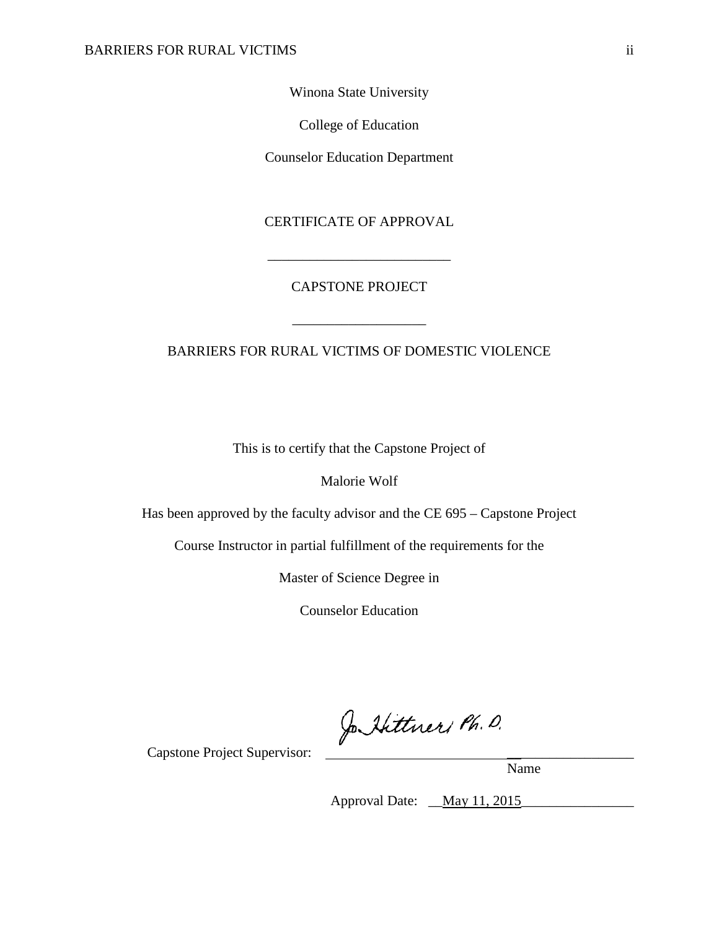Winona State University

College of Education

Counselor Education Department

CERTIFICATE OF APPROVAL

\_\_\_\_\_\_\_\_\_\_\_\_\_\_\_\_\_\_\_\_\_\_\_\_\_\_

## CAPSTONE PROJECT

\_\_\_\_\_\_\_\_\_\_\_\_\_\_\_\_\_\_\_

### BARRIERS FOR RURAL VICTIMS OF DOMESTIC VIOLENCE

This is to certify that the Capstone Project of

Malorie Wolf

Has been approved by the faculty advisor and the CE 695 – Capstone Project

Course Instructor in partial fulfillment of the requirements for the

Master of Science Degree in

Counselor Education

Jo Hittners Ph. D.

Capstone Project Supervisor:

Name

Approval Date: <u>May 11, 2015</u>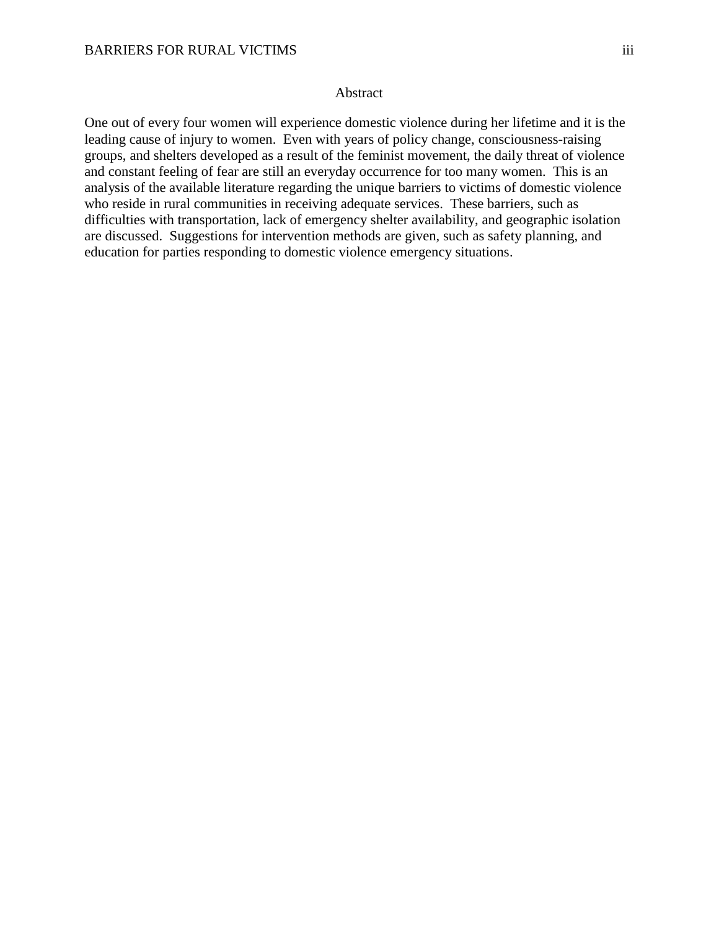#### Abstract

One out of every four women will experience domestic violence during her lifetime and it is the leading cause of injury to women. Even with years of policy change, consciousness-raising groups, and shelters developed as a result of the feminist movement, the daily threat of violence and constant feeling of fear are still an everyday occurrence for too many women. This is an analysis of the available literature regarding the unique barriers to victims of domestic violence who reside in rural communities in receiving adequate services. These barriers, such as difficulties with transportation, lack of emergency shelter availability, and geographic isolation are discussed. Suggestions for intervention methods are given, such as safety planning, and education for parties responding to domestic violence emergency situations.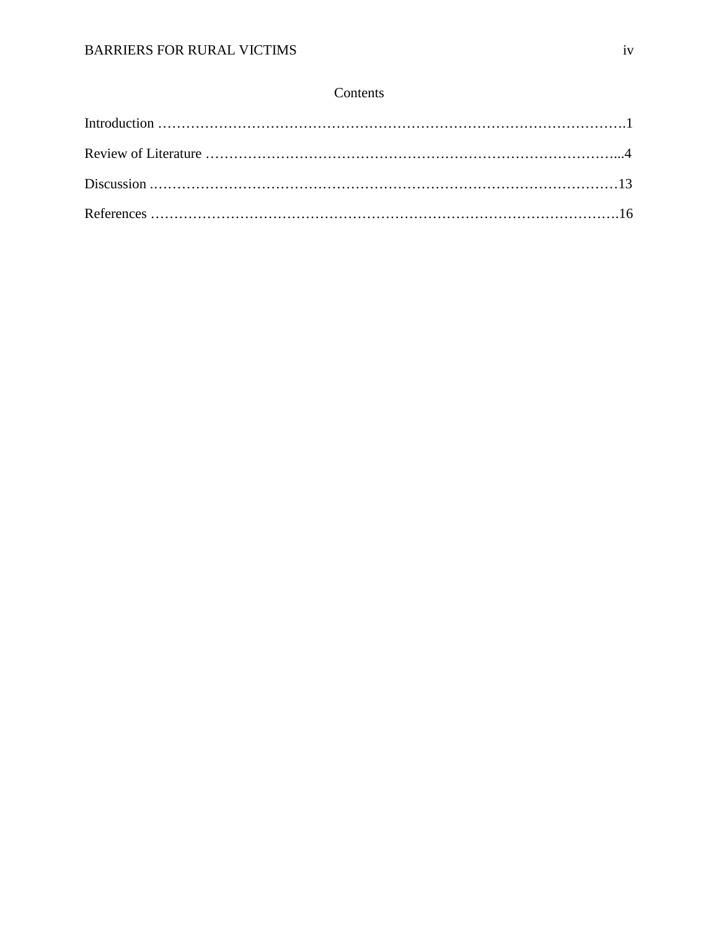## Contents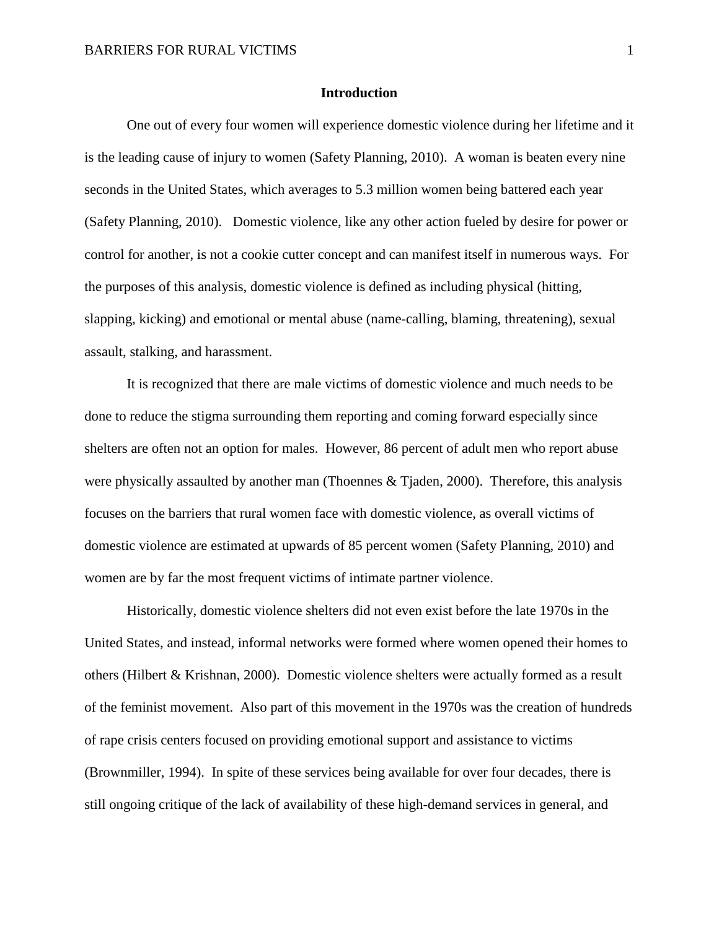#### **Introduction**

One out of every four women will experience domestic violence during her lifetime and it is the leading cause of injury to women (Safety Planning, 2010). A woman is beaten every nine seconds in the United States, which averages to 5.3 million women being battered each year (Safety Planning, 2010). Domestic violence, like any other action fueled by desire for power or control for another, is not a cookie cutter concept and can manifest itself in numerous ways. For the purposes of this analysis, domestic violence is defined as including physical (hitting, slapping, kicking) and emotional or mental abuse (name-calling, blaming, threatening), sexual assault, stalking, and harassment.

It is recognized that there are male victims of domestic violence and much needs to be done to reduce the stigma surrounding them reporting and coming forward especially since shelters are often not an option for males. However, 86 percent of adult men who report abuse were physically assaulted by another man (Thoennes & Tjaden, 2000). Therefore, this analysis focuses on the barriers that rural women face with domestic violence, as overall victims of domestic violence are estimated at upwards of 85 percent women (Safety Planning, 2010) and women are by far the most frequent victims of intimate partner violence.

Historically, domestic violence shelters did not even exist before the late 1970s in the United States, and instead, informal networks were formed where women opened their homes to others (Hilbert & Krishnan, 2000). Domestic violence shelters were actually formed as a result of the feminist movement. Also part of this movement in the 1970s was the creation of hundreds of rape crisis centers focused on providing emotional support and assistance to victims (Brownmiller, 1994). In spite of these services being available for over four decades, there is still ongoing critique of the lack of availability of these high-demand services in general, and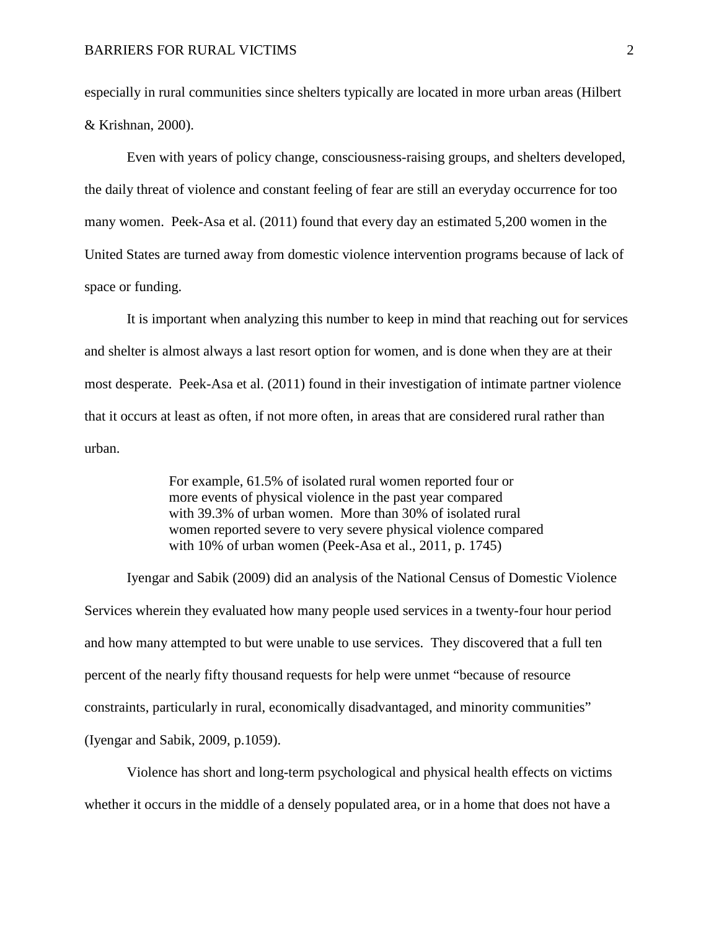especially in rural communities since shelters typically are located in more urban areas (Hilbert & Krishnan, 2000).

Even with years of policy change, consciousness-raising groups, and shelters developed, the daily threat of violence and constant feeling of fear are still an everyday occurrence for too many women. Peek-Asa et al. (2011) found that every day an estimated 5,200 women in the United States are turned away from domestic violence intervention programs because of lack of space or funding.

It is important when analyzing this number to keep in mind that reaching out for services and shelter is almost always a last resort option for women, and is done when they are at their most desperate. Peek-Asa et al. (2011) found in their investigation of intimate partner violence that it occurs at least as often, if not more often, in areas that are considered rural rather than urban.

> For example, 61.5% of isolated rural women reported four or more events of physical violence in the past year compared with 39.3% of urban women. More than 30% of isolated rural women reported severe to very severe physical violence compared with 10% of urban women (Peek-Asa et al., 2011, p. 1745)

Iyengar and Sabik (2009) did an analysis of the National Census of Domestic Violence Services wherein they evaluated how many people used services in a twenty-four hour period and how many attempted to but were unable to use services. They discovered that a full ten percent of the nearly fifty thousand requests for help were unmet "because of resource constraints, particularly in rural, economically disadvantaged, and minority communities" (Iyengar and Sabik, 2009, p.1059).

Violence has short and long-term psychological and physical health effects on victims whether it occurs in the middle of a densely populated area, or in a home that does not have a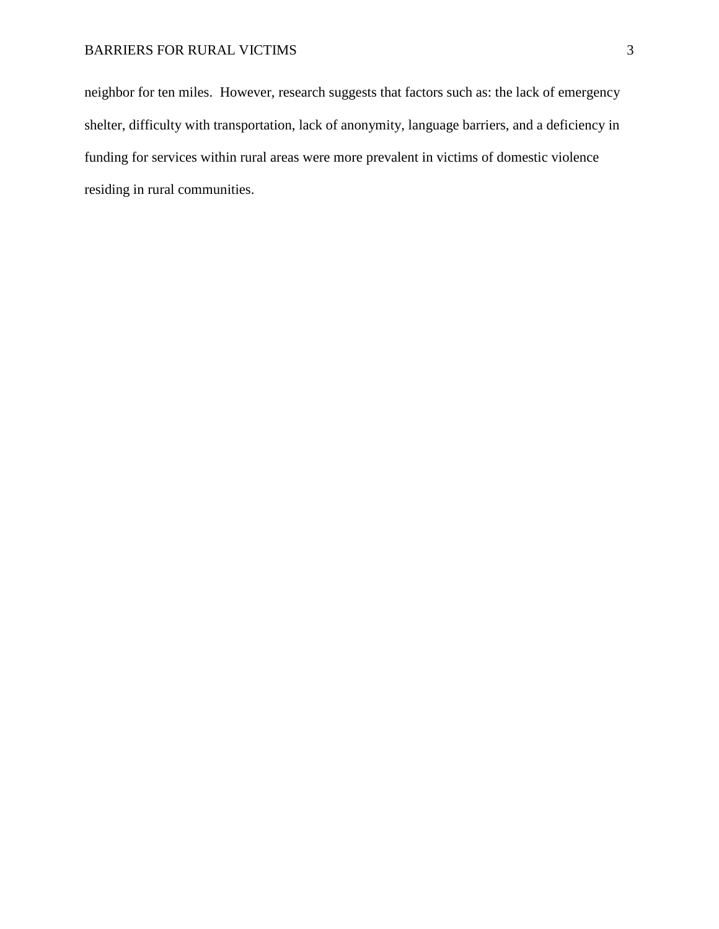neighbor for ten miles. However, research suggests that factors such as: the lack of emergency shelter, difficulty with transportation, lack of anonymity, language barriers, and a deficiency in funding for services within rural areas were more prevalent in victims of domestic violence residing in rural communities.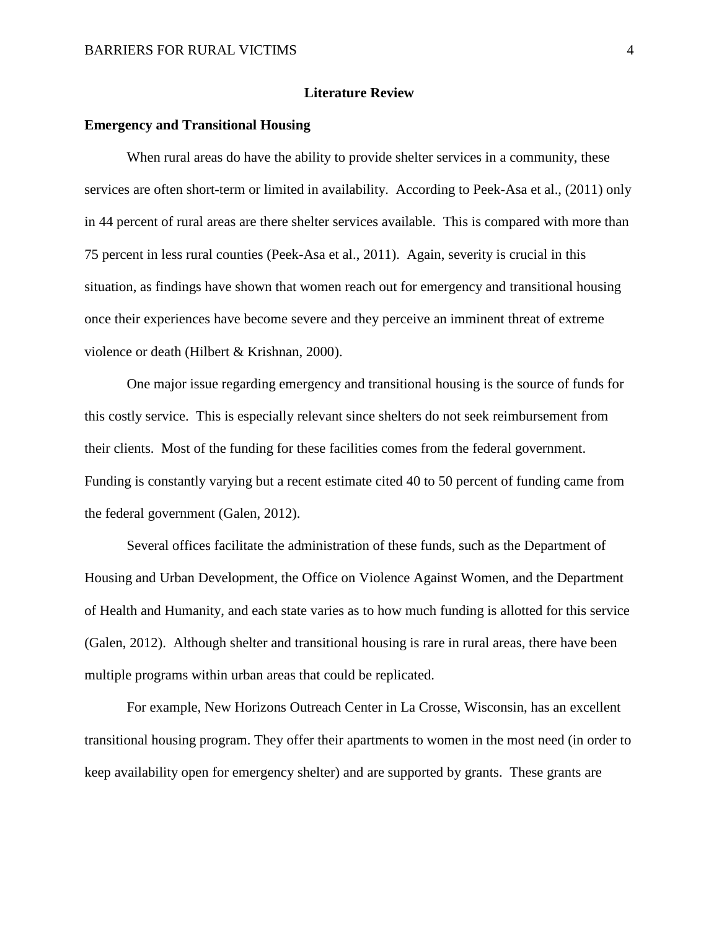#### **Literature Review**

#### **Emergency and Transitional Housing**

When rural areas do have the ability to provide shelter services in a community, these services are often short-term or limited in availability. According to Peek-Asa et al., (2011) only in 44 percent of rural areas are there shelter services available. This is compared with more than 75 percent in less rural counties (Peek-Asa et al., 2011). Again, severity is crucial in this situation, as findings have shown that women reach out for emergency and transitional housing once their experiences have become severe and they perceive an imminent threat of extreme violence or death (Hilbert & Krishnan, 2000).

One major issue regarding emergency and transitional housing is the source of funds for this costly service. This is especially relevant since shelters do not seek reimbursement from their clients. Most of the funding for these facilities comes from the federal government. Funding is constantly varying but a recent estimate cited 40 to 50 percent of funding came from the federal government (Galen, 2012).

Several offices facilitate the administration of these funds, such as the Department of Housing and Urban Development, the Office on Violence Against Women, and the Department of Health and Humanity, and each state varies as to how much funding is allotted for this service (Galen, 2012). Although shelter and transitional housing is rare in rural areas, there have been multiple programs within urban areas that could be replicated.

For example, New Horizons Outreach Center in La Crosse, Wisconsin, has an excellent transitional housing program. They offer their apartments to women in the most need (in order to keep availability open for emergency shelter) and are supported by grants. These grants are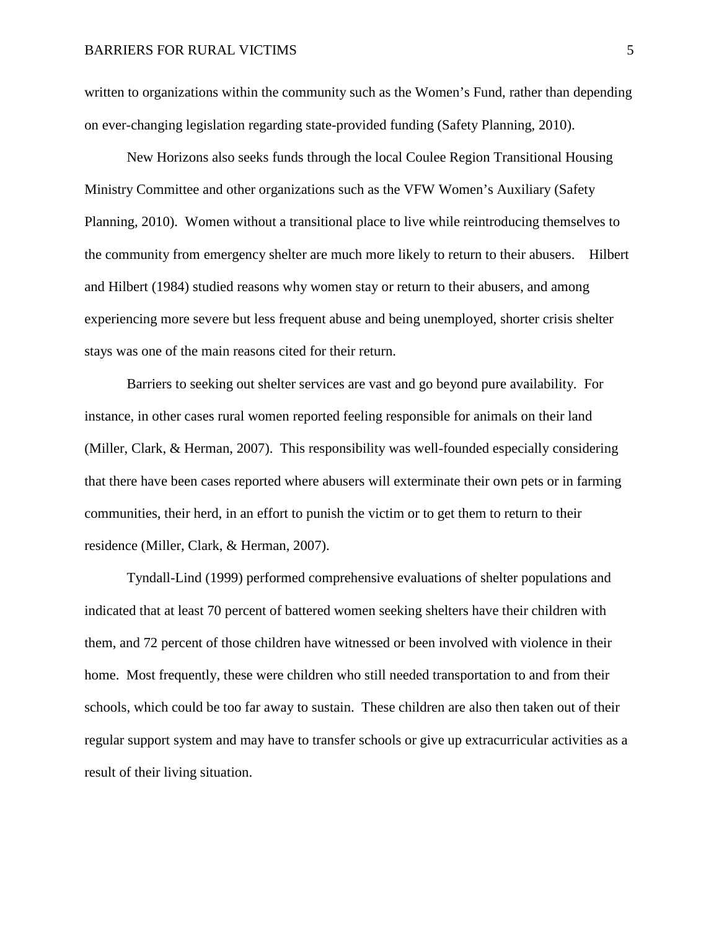written to organizations within the community such as the Women's Fund, rather than depending on ever-changing legislation regarding state-provided funding (Safety Planning*,* 2010).

New Horizons also seeks funds through the local Coulee Region Transitional Housing Ministry Committee and other organizations such as the VFW Women's Auxiliary (Safety Planning, 2010). Women without a transitional place to live while reintroducing themselves to the community from emergency shelter are much more likely to return to their abusers. Hilbert and Hilbert (1984) studied reasons why women stay or return to their abusers, and among experiencing more severe but less frequent abuse and being unemployed, shorter crisis shelter stays was one of the main reasons cited for their return.

Barriers to seeking out shelter services are vast and go beyond pure availability. For instance, in other cases rural women reported feeling responsible for animals on their land (Miller, Clark, & Herman, 2007). This responsibility was well-founded especially considering that there have been cases reported where abusers will exterminate their own pets or in farming communities, their herd, in an effort to punish the victim or to get them to return to their residence (Miller, Clark, & Herman, 2007).

 Tyndall-Lind (1999) performed comprehensive evaluations of shelter populations and indicated that at least 70 percent of battered women seeking shelters have their children with them, and 72 percent of those children have witnessed or been involved with violence in their home. Most frequently, these were children who still needed transportation to and from their schools, which could be too far away to sustain. These children are also then taken out of their regular support system and may have to transfer schools or give up extracurricular activities as a result of their living situation.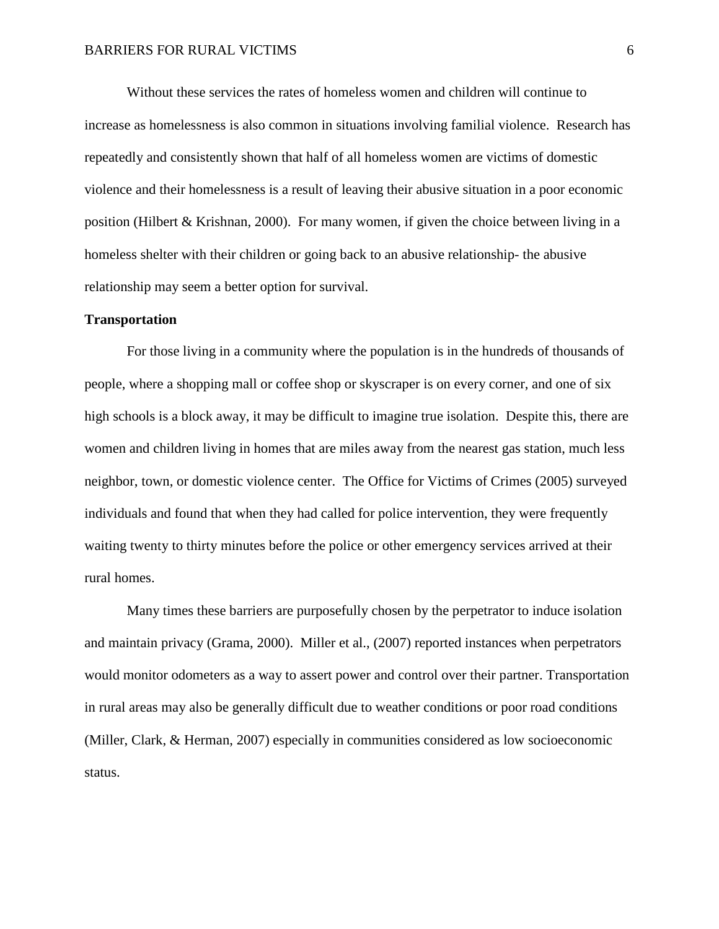Without these services the rates of homeless women and children will continue to increase as homelessness is also common in situations involving familial violence. Research has repeatedly and consistently shown that half of all homeless women are victims of domestic violence and their homelessness is a result of leaving their abusive situation in a poor economic position (Hilbert & Krishnan, 2000). For many women, if given the choice between living in a homeless shelter with their children or going back to an abusive relationship- the abusive relationship may seem a better option for survival.

#### **Transportation**

 For those living in a community where the population is in the hundreds of thousands of people, where a shopping mall or coffee shop or skyscraper is on every corner, and one of six high schools is a block away, it may be difficult to imagine true isolation. Despite this, there are women and children living in homes that are miles away from the nearest gas station, much less neighbor, town, or domestic violence center. The Office for Victims of Crimes (2005) surveyed individuals and found that when they had called for police intervention, they were frequently waiting twenty to thirty minutes before the police or other emergency services arrived at their rural homes.

Many times these barriers are purposefully chosen by the perpetrator to induce isolation and maintain privacy (Grama, 2000). Miller et al., (2007) reported instances when perpetrators would monitor odometers as a way to assert power and control over their partner. Transportation in rural areas may also be generally difficult due to weather conditions or poor road conditions (Miller, Clark, & Herman, 2007) especially in communities considered as low socioeconomic status.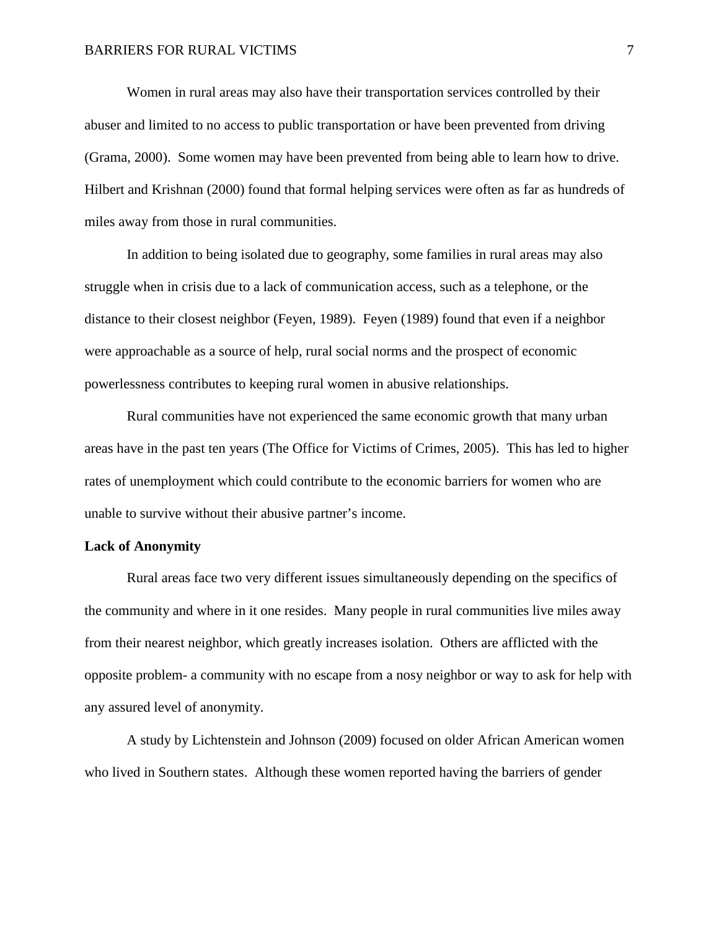Women in rural areas may also have their transportation services controlled by their abuser and limited to no access to public transportation or have been prevented from driving (Grama, 2000). Some women may have been prevented from being able to learn how to drive. Hilbert and Krishnan (2000) found that formal helping services were often as far as hundreds of miles away from those in rural communities.

In addition to being isolated due to geography, some families in rural areas may also struggle when in crisis due to a lack of communication access, such as a telephone, or the distance to their closest neighbor (Feyen, 1989). Feyen (1989) found that even if a neighbor were approachable as a source of help, rural social norms and the prospect of economic powerlessness contributes to keeping rural women in abusive relationships.

Rural communities have not experienced the same economic growth that many urban areas have in the past ten years (The Office for Victims of Crimes, 2005). This has led to higher rates of unemployment which could contribute to the economic barriers for women who are unable to survive without their abusive partner's income.

#### **Lack of Anonymity**

Rural areas face two very different issues simultaneously depending on the specifics of the community and where in it one resides. Many people in rural communities live miles away from their nearest neighbor, which greatly increases isolation. Others are afflicted with the opposite problem- a community with no escape from a nosy neighbor or way to ask for help with any assured level of anonymity.

A study by Lichtenstein and Johnson (2009) focused on older African American women who lived in Southern states. Although these women reported having the barriers of gender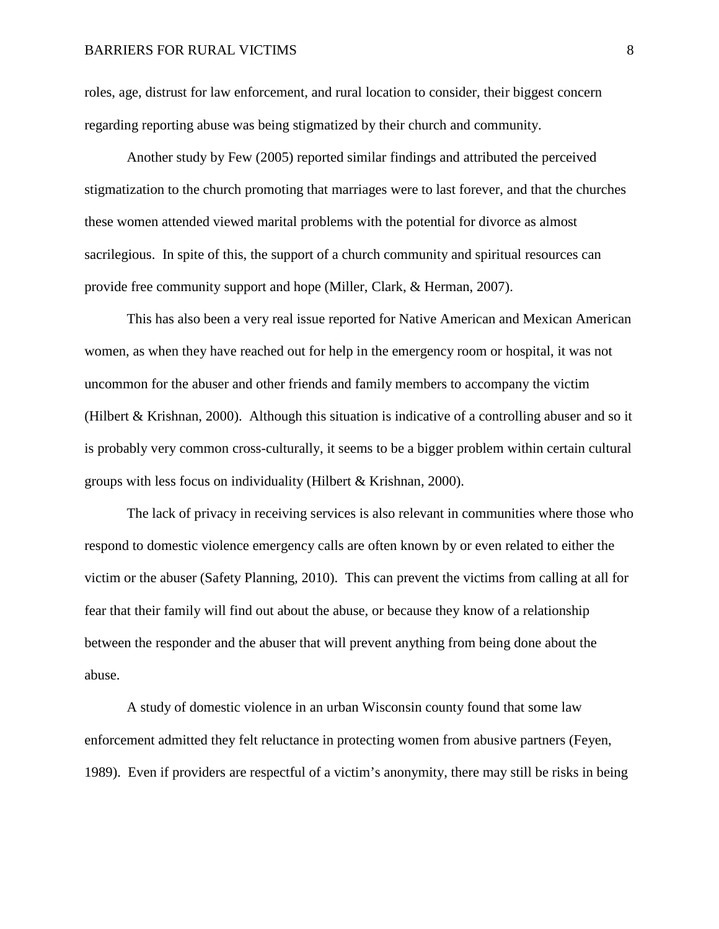#### BARRIERS FOR RURAL VICTIMS 8

roles, age, distrust for law enforcement, and rural location to consider, their biggest concern regarding reporting abuse was being stigmatized by their church and community.

Another study by Few (2005) reported similar findings and attributed the perceived stigmatization to the church promoting that marriages were to last forever, and that the churches these women attended viewed marital problems with the potential for divorce as almost sacrilegious. In spite of this, the support of a church community and spiritual resources can provide free community support and hope (Miller, Clark, & Herman, 2007).

 This has also been a very real issue reported for Native American and Mexican American women, as when they have reached out for help in the emergency room or hospital, it was not uncommon for the abuser and other friends and family members to accompany the victim (Hilbert & Krishnan, 2000). Although this situation is indicative of a controlling abuser and so it is probably very common cross-culturally, it seems to be a bigger problem within certain cultural groups with less focus on individuality (Hilbert & Krishnan, 2000).

The lack of privacy in receiving services is also relevant in communities where those who respond to domestic violence emergency calls are often known by or even related to either the victim or the abuser (Safety Planning*,* 2010). This can prevent the victims from calling at all for fear that their family will find out about the abuse, or because they know of a relationship between the responder and the abuser that will prevent anything from being done about the abuse.

A study of domestic violence in an urban Wisconsin county found that some law enforcement admitted they felt reluctance in protecting women from abusive partners (Feyen, 1989). Even if providers are respectful of a victim's anonymity, there may still be risks in being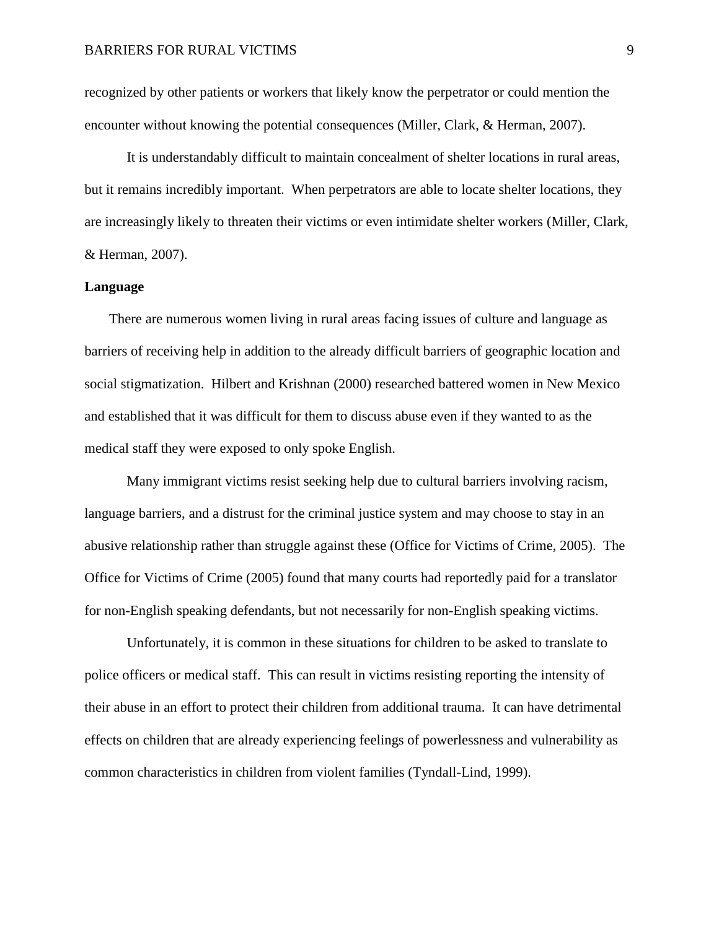recognized by other patients or workers that likely know the perpetrator or could mention the encounter without knowing the potential consequences (Miller, Clark, & Herman, 2007).

It is understandably difficult to maintain concealment of shelter locations in rural areas, but it remains incredibly important. When perpetrators are able to locate shelter locations, they are increasingly likely to threaten their victims or even intimidate shelter workers (Miller, Clark, & Herman, 2007).

#### **Language**

 There are numerous women living in rural areas facing issues of culture and language as barriers of receiving help in addition to the already difficult barriers of geographic location and social stigmatization. Hilbert and Krishnan (2000) researched battered women in New Mexico and established that it was difficult for them to discuss abuse even if they wanted to as the medical staff they were exposed to only spoke English.

Many immigrant victims resist seeking help due to cultural barriers involving racism, language barriers, and a distrust for the criminal justice system and may choose to stay in an abusive relationship rather than struggle against these (Office for Victims of Crime, 2005). The Office for Victims of Crime (2005) found that many courts had reportedly paid for a translator for non-English speaking defendants, but not necessarily for non-English speaking victims.

Unfortunately, it is common in these situations for children to be asked to translate to police officers or medical staff. This can result in victims resisting reporting the intensity of their abuse in an effort to protect their children from additional trauma. It can have detrimental effects on children that are already experiencing feelings of powerlessness and vulnerability as common characteristics in children from violent families (Tyndall-Lind, 1999).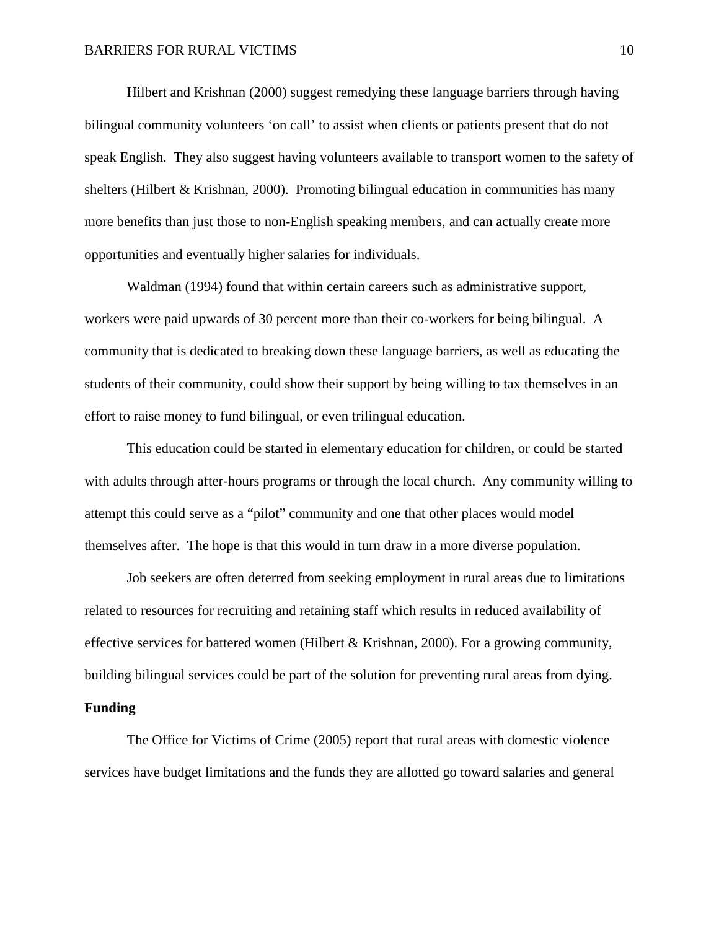Hilbert and Krishnan (2000) suggest remedying these language barriers through having bilingual community volunteers 'on call' to assist when clients or patients present that do not speak English. They also suggest having volunteers available to transport women to the safety of shelters (Hilbert & Krishnan, 2000). Promoting bilingual education in communities has many more benefits than just those to non-English speaking members, and can actually create more opportunities and eventually higher salaries for individuals.

Waldman (1994) found that within certain careers such as administrative support, workers were paid upwards of 30 percent more than their co-workers for being bilingual. A community that is dedicated to breaking down these language barriers, as well as educating the students of their community, could show their support by being willing to tax themselves in an effort to raise money to fund bilingual, or even trilingual education.

 This education could be started in elementary education for children, or could be started with adults through after-hours programs or through the local church. Any community willing to attempt this could serve as a "pilot" community and one that other places would model themselves after. The hope is that this would in turn draw in a more diverse population.

Job seekers are often deterred from seeking employment in rural areas due to limitations related to resources for recruiting and retaining staff which results in reduced availability of effective services for battered women (Hilbert & Krishnan, 2000). For a growing community, building bilingual services could be part of the solution for preventing rural areas from dying. **Funding**

 The Office for Victims of Crime (2005) report that rural areas with domestic violence services have budget limitations and the funds they are allotted go toward salaries and general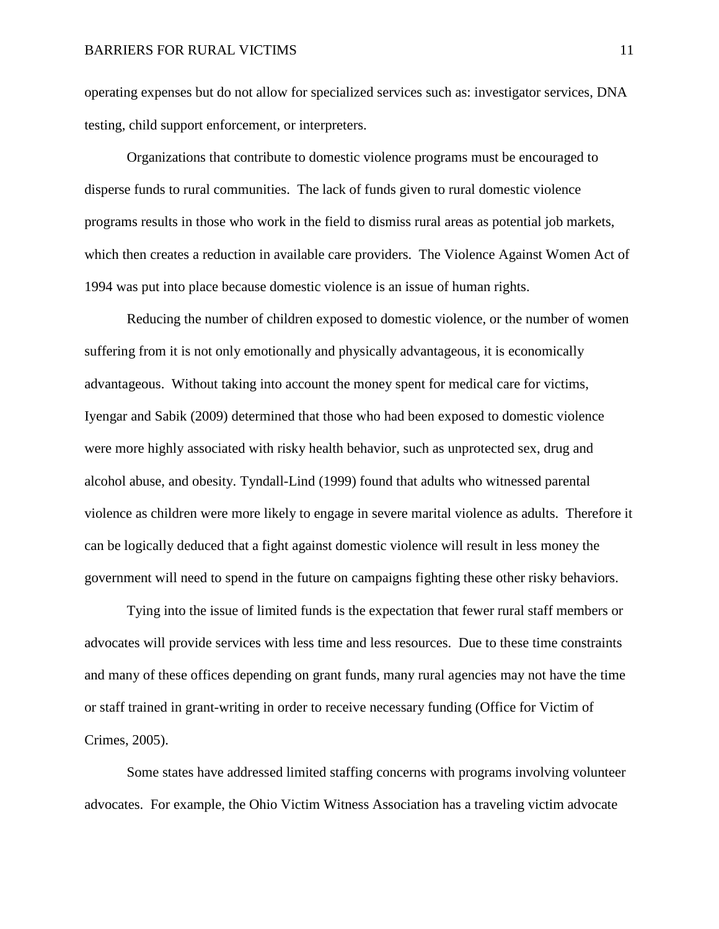operating expenses but do not allow for specialized services such as: investigator services, DNA testing, child support enforcement, or interpreters.

Organizations that contribute to domestic violence programs must be encouraged to disperse funds to rural communities. The lack of funds given to rural domestic violence programs results in those who work in the field to dismiss rural areas as potential job markets, which then creates a reduction in available care providers. The Violence Against Women Act of 1994 was put into place because domestic violence is an issue of human rights.

Reducing the number of children exposed to domestic violence, or the number of women suffering from it is not only emotionally and physically advantageous, it is economically advantageous. Without taking into account the money spent for medical care for victims, Iyengar and Sabik (2009) determined that those who had been exposed to domestic violence were more highly associated with risky health behavior, such as unprotected sex, drug and alcohol abuse, and obesity. Tyndall-Lind (1999) found that adults who witnessed parental violence as children were more likely to engage in severe marital violence as adults. Therefore it can be logically deduced that a fight against domestic violence will result in less money the government will need to spend in the future on campaigns fighting these other risky behaviors.

Tying into the issue of limited funds is the expectation that fewer rural staff members or advocates will provide services with less time and less resources. Due to these time constraints and many of these offices depending on grant funds, many rural agencies may not have the time or staff trained in grant-writing in order to receive necessary funding (Office for Victim of Crimes, 2005).

Some states have addressed limited staffing concerns with programs involving volunteer advocates. For example, the Ohio Victim Witness Association has a traveling victim advocate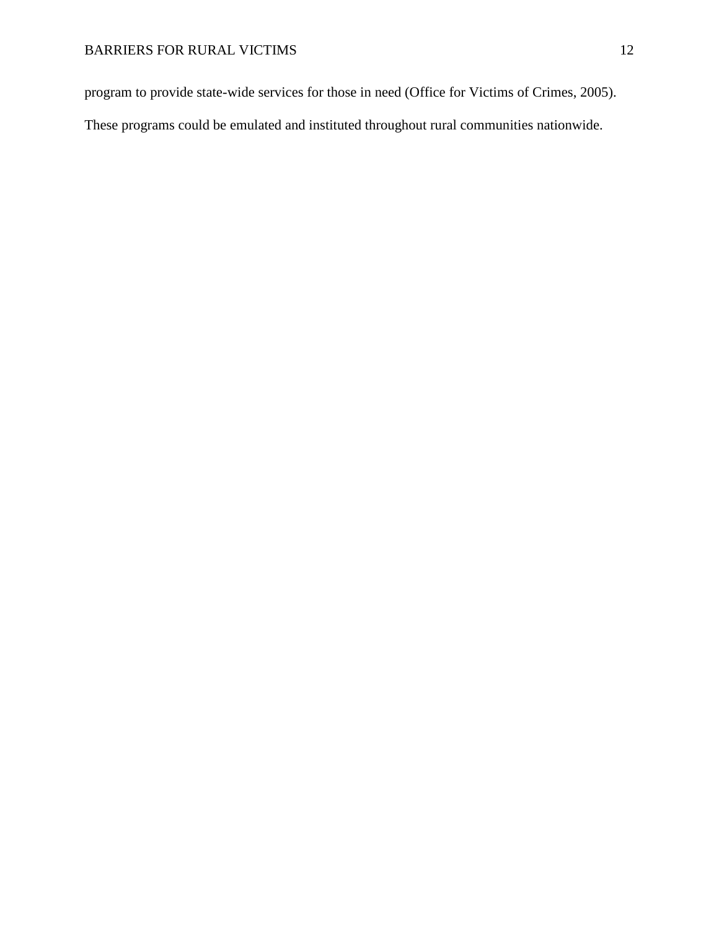program to provide state-wide services for those in need (Office for Victims of Crimes, 2005).

These programs could be emulated and instituted throughout rural communities nationwide.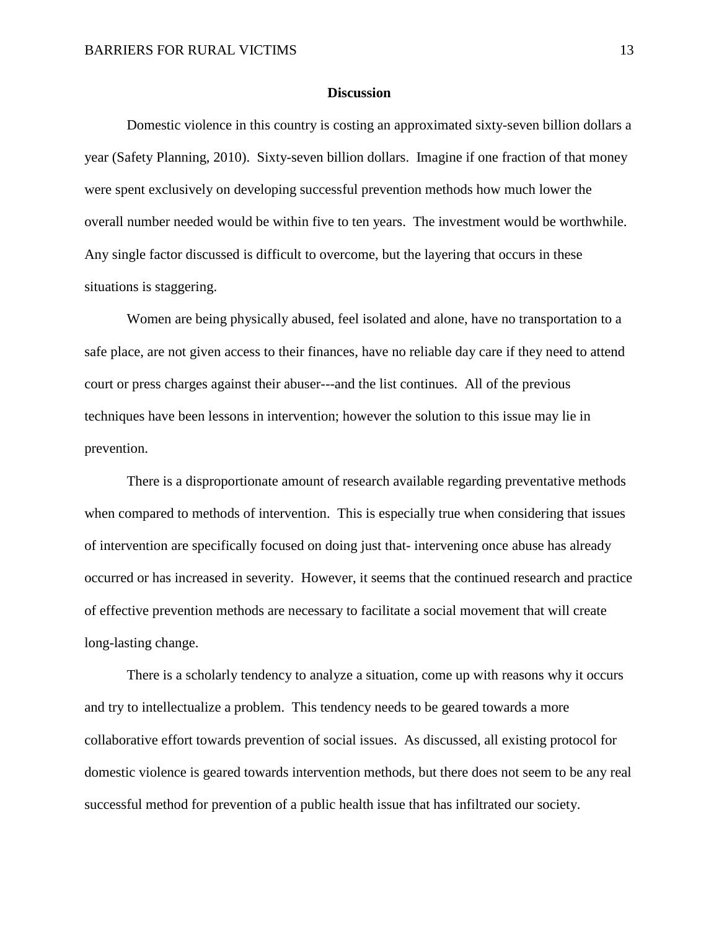#### **Discussion**

Domestic violence in this country is costing an approximated sixty-seven billion dollars a year (Safety Planning, 2010). Sixty-seven billion dollars. Imagine if one fraction of that money were spent exclusively on developing successful prevention methods how much lower the overall number needed would be within five to ten years. The investment would be worthwhile. Any single factor discussed is difficult to overcome, but the layering that occurs in these situations is staggering.

Women are being physically abused, feel isolated and alone, have no transportation to a safe place, are not given access to their finances, have no reliable day care if they need to attend court or press charges against their abuser---and the list continues. All of the previous techniques have been lessons in intervention; however the solution to this issue may lie in prevention.

There is a disproportionate amount of research available regarding preventative methods when compared to methods of intervention. This is especially true when considering that issues of intervention are specifically focused on doing just that- intervening once abuse has already occurred or has increased in severity. However, it seems that the continued research and practice of effective prevention methods are necessary to facilitate a social movement that will create long-lasting change.

There is a scholarly tendency to analyze a situation, come up with reasons why it occurs and try to intellectualize a problem. This tendency needs to be geared towards a more collaborative effort towards prevention of social issues. As discussed, all existing protocol for domestic violence is geared towards intervention methods, but there does not seem to be any real successful method for prevention of a public health issue that has infiltrated our society.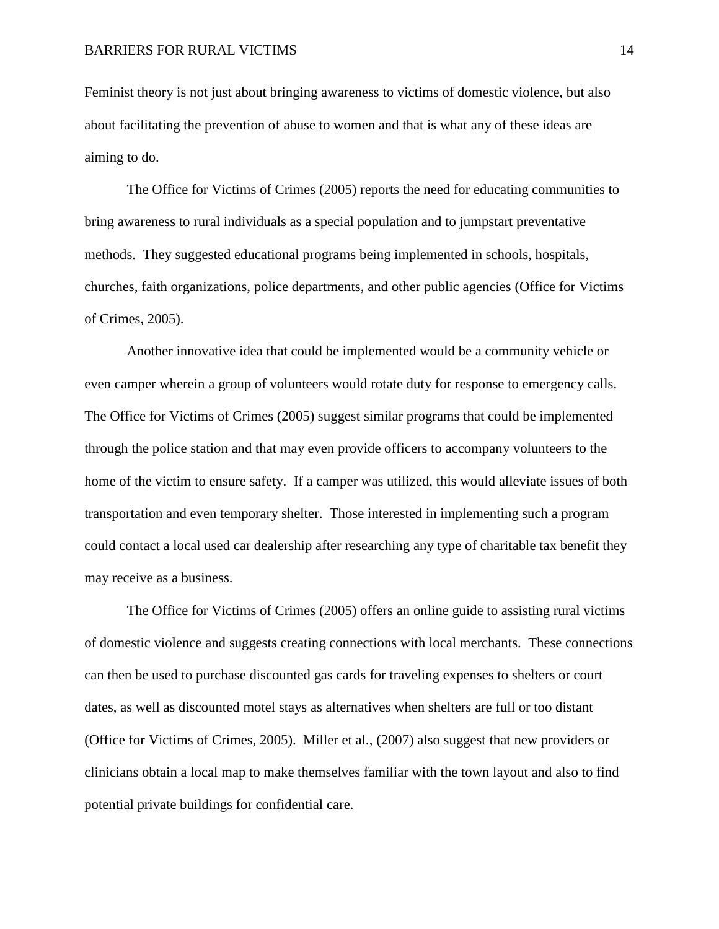Feminist theory is not just about bringing awareness to victims of domestic violence, but also about facilitating the prevention of abuse to women and that is what any of these ideas are aiming to do.

The Office for Victims of Crimes (2005) reports the need for educating communities to bring awareness to rural individuals as a special population and to jumpstart preventative methods. They suggested educational programs being implemented in schools, hospitals, churches, faith organizations, police departments, and other public agencies (Office for Victims of Crimes, 2005).

Another innovative idea that could be implemented would be a community vehicle or even camper wherein a group of volunteers would rotate duty for response to emergency calls. The Office for Victims of Crimes (2005) suggest similar programs that could be implemented through the police station and that may even provide officers to accompany volunteers to the home of the victim to ensure safety. If a camper was utilized, this would alleviate issues of both transportation and even temporary shelter. Those interested in implementing such a program could contact a local used car dealership after researching any type of charitable tax benefit they may receive as a business.

The Office for Victims of Crimes (2005) offers an online guide to assisting rural victims of domestic violence and suggests creating connections with local merchants. These connections can then be used to purchase discounted gas cards for traveling expenses to shelters or court dates, as well as discounted motel stays as alternatives when shelters are full or too distant (Office for Victims of Crimes, 2005). Miller et al., (2007) also suggest that new providers or clinicians obtain a local map to make themselves familiar with the town layout and also to find potential private buildings for confidential care.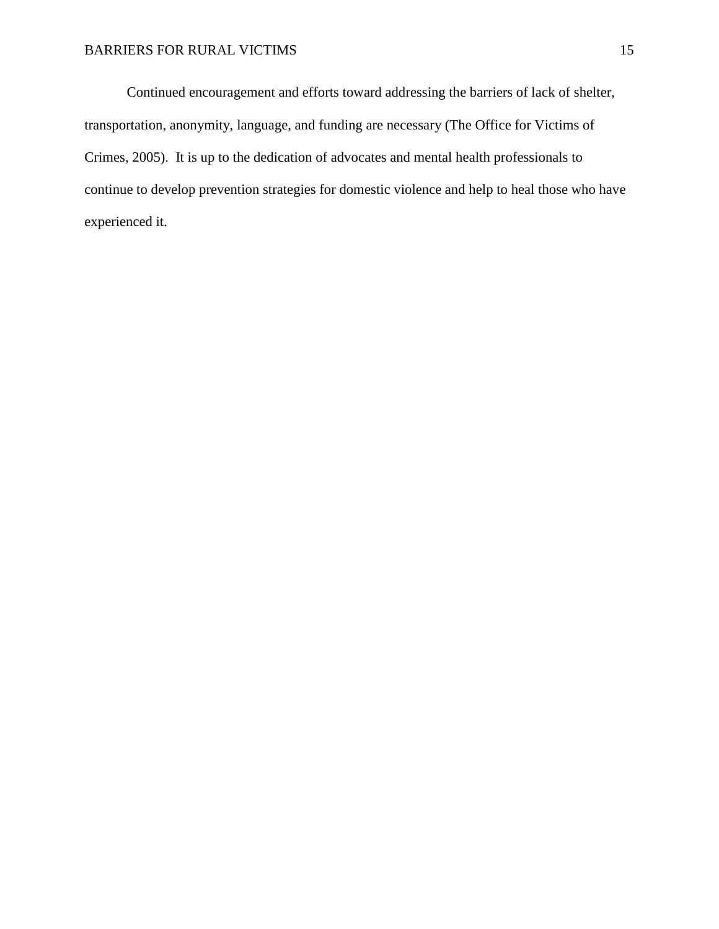Continued encouragement and efforts toward addressing the barriers of lack of shelter, transportation, anonymity, language, and funding are necessary (The Office for Victims of Crimes, 2005). It is up to the dedication of advocates and mental health professionals to continue to develop prevention strategies for domestic violence and help to heal those who have experienced it.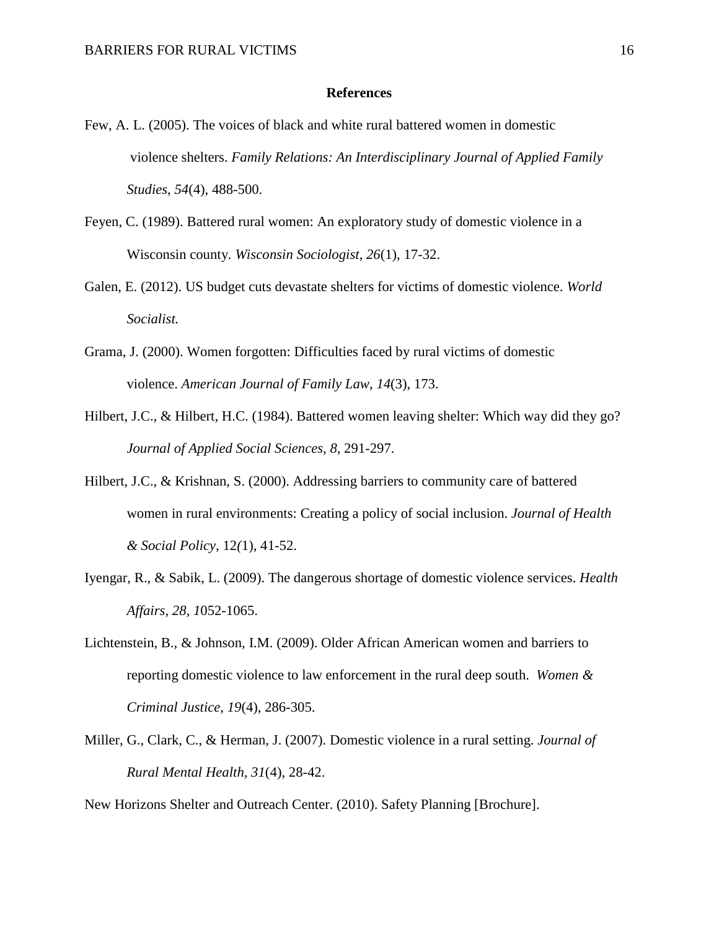#### **References**

- Few, A. L. (2005). The voices of black and white rural battered women in domestic violence shelters. *Family Relations: An Interdisciplinary Journal of Applied Family Studies*, *54*(4), 488-500.
- Feyen, C. (1989). Battered rural women: An exploratory study of domestic violence in a Wisconsin county. *Wisconsin Sociologist*, *26*(1), 17-32.
- Galen, E. (2012). [US budget cuts devastate shelters for victims of domestic violence.](http://www.wsws.org/articles/2012/jan2012/viol-j25.shtml) *World Socialist.*
- Grama, J. (2000). Women forgotten: Difficulties faced by rural victims of domestic violence. *American Journal of Family Law*, *14*(3), 173.
- Hilbert, J.C., & Hilbert, H.C. (1984). Battered women leaving shelter: Which way did they go? *Journal of Applied Social Sciences, 8*, 291-297.
- Hilbert, J.C., & Krishnan, S. (2000). Addressing barriers to community care of battered women in rural environments: Creating a policy of social inclusion. *Journal of Health & Social Policy*, 12*(*1), 41-52.
- Iyengar, R., & Sabik, L. (2009). The dangerous shortage of domestic violence services. *Health Affairs*, *28, 1*052-1065.
- Lichtenstein, B., & Johnson, I.M. (2009). Older African American women and barriers to reporting domestic violence to law enforcement in the rural deep south. *Women & Criminal Justice*, *19*(4), 286-305.
- Miller, G., Clark, C., & Herman, J. (2007). Domestic violence in a rural setting. *Journal of Rural Mental Health, 31*(4), 28-42.

New Horizons Shelter and Outreach Center. (2010). Safety Planning [Brochure].